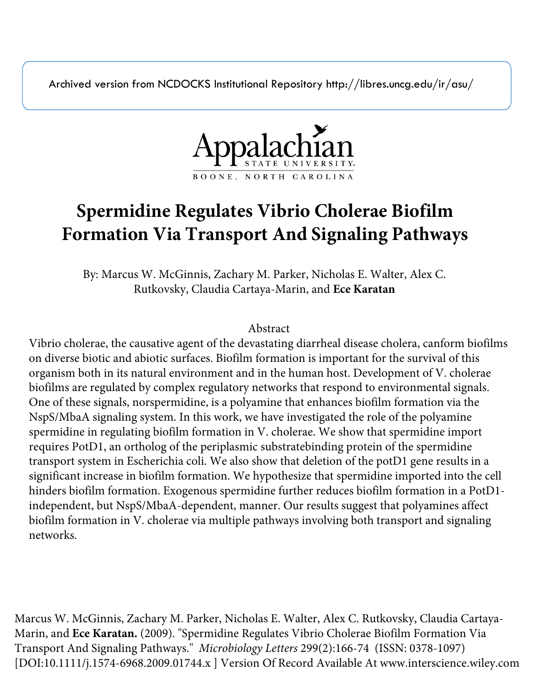Archived version from NCDOCKS Institutional Repository http://libres.uncg.edu/ir/asu/



# **Spermidine Regulates Vibrio Cholerae Biofilm Formation Via Transport And Signaling Pathways**

By: Marcus W. McGinnis, Zachary M. Parker, Nicholas E. Walter, Alex C. Rutkovsky, Claudia Cartaya-Marin, and **Ece Karatan**

# Abstract

Vibrio cholerae, the causative agent of the devastating diarrheal disease cholera, canform biofilms on diverse biotic and abiotic surfaces. Biofilm formation is important for the survival of this organism both in its natural environment and in the human host. Development of V. cholerae biofilms are regulated by complex regulatory networks that respond to environmental signals. One of these signals, norspermidine, is a polyamine that enhances biofilm formation via the NspS/MbaA signaling system. In this work, we have investigated the role of the polyamine spermidine in regulating biofilm formation in V. cholerae. We show that spermidine import requires PotD1, an ortholog of the periplasmic substratebinding protein of the spermidine transport system in Escherichia coli. We also show that deletion of the potD1 gene results in a significant increase in biofilm formation. We hypothesize that spermidine imported into the cell hinders biofilm formation. Exogenous spermidine further reduces biofilm formation in a PotD1 independent, but NspS/MbaA-dependent, manner. Our results suggest that polyamines affect biofilm formation in V. cholerae via multiple pathways involving both transport and signaling networks.

Marcus W. McGinnis, Zachary M. Parker, Nicholas E. Walter, Alex C. Rutkovsky, Claudia Cartaya-Marin, and **Ece Karatan.** (2009). "Spermidine Regulates Vibrio Cholerae Biofilm Formation Via Transport And Signaling Pathways." *Microbiology Letters* 299(2):166-74 (ISSN: 0378-1097) [DOI:10.1111/j.1574-6968.2009.01744.x ] Version Of Record Available At www.interscience.wiley.com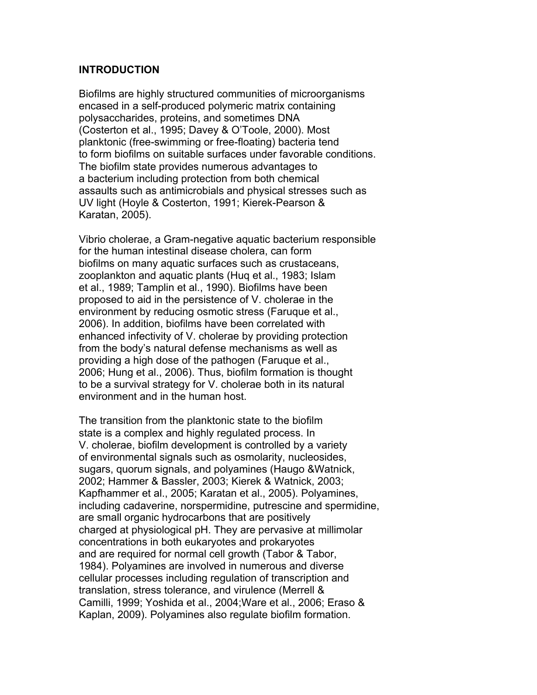#### **INTRODUCTION**

Biofilms are highly structured communities of microorganisms encased in a self-produced polymeric matrix containing polysaccharides, proteins, and sometimes DNA (Costerton et al., 1995; Davey & O'Toole, 2000). Most planktonic (free-swimming or free-floating) bacteria tend to form biofilms on suitable surfaces under favorable conditions. The biofilm state provides numerous advantages to a bacterium including protection from both chemical assaults such as antimicrobials and physical stresses such as UV light (Hoyle & Costerton, 1991; Kierek-Pearson & Karatan, 2005).

Vibrio cholerae, a Gram-negative aquatic bacterium responsible for the human intestinal disease cholera, can form biofilms on many aquatic surfaces such as crustaceans, zooplankton and aquatic plants (Huq et al., 1983; Islam et al., 1989; Tamplin et al., 1990). Biofilms have been proposed to aid in the persistence of V. cholerae in the environment by reducing osmotic stress (Faruque et al., 2006). In addition, biofilms have been correlated with enhanced infectivity of V. cholerae by providing protection from the body's natural defense mechanisms as well as providing a high dose of the pathogen (Faruque et al., 2006; Hung et al., 2006). Thus, biofilm formation is thought to be a survival strategy for V. cholerae both in its natural environment and in the human host.

The transition from the planktonic state to the biofilm state is a complex and highly regulated process. In V. cholerae, biofilm development is controlled by a variety of environmental signals such as osmolarity, nucleosides, sugars, quorum signals, and polyamines (Haugo &Watnick, 2002; Hammer & Bassler, 2003; Kierek & Watnick, 2003; Kapfhammer et al., 2005; Karatan et al., 2005). Polyamines, including cadaverine, norspermidine, putrescine and spermidine, are small organic hydrocarbons that are positively charged at physiological pH. They are pervasive at millimolar concentrations in both eukaryotes and prokaryotes and are required for normal cell growth (Tabor & Tabor, 1984). Polyamines are involved in numerous and diverse cellular processes including regulation of transcription and translation, stress tolerance, and virulence (Merrell & Camilli, 1999; Yoshida et al., 2004;Ware et al., 2006; Eraso & Kaplan, 2009). Polyamines also regulate biofilm formation.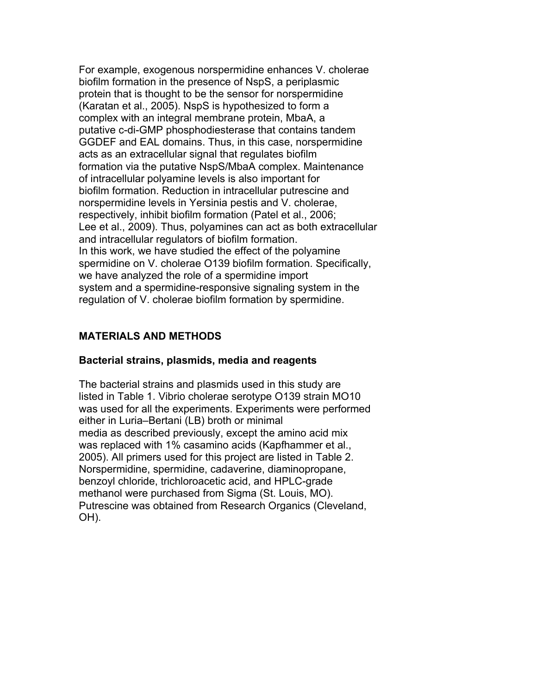For example, exogenous norspermidine enhances V. cholerae biofilm formation in the presence of NspS, a periplasmic protein that is thought to be the sensor for norspermidine (Karatan et al., 2005). NspS is hypothesized to form a complex with an integral membrane protein, MbaA, a putative c-di-GMP phosphodiesterase that contains tandem GGDEF and EAL domains. Thus, in this case, norspermidine acts as an extracellular signal that regulates biofilm formation via the putative NspS/MbaA complex. Maintenance of intracellular polyamine levels is also important for biofilm formation. Reduction in intracellular putrescine and norspermidine levels in Yersinia pestis and V. cholerae, respectively, inhibit biofilm formation (Patel et al., 2006; Lee et al., 2009). Thus, polyamines can act as both extracellular and intracellular regulators of biofilm formation. In this work, we have studied the effect of the polyamine spermidine on V. cholerae O139 biofilm formation. Specifically, we have analyzed the role of a spermidine import system and a spermidine-responsive signaling system in the regulation of V. cholerae biofilm formation by spermidine.

# **MATERIALS AND METHODS**

# **Bacterial strains, plasmids, media and reagents**

The bacterial strains and plasmids used in this study are listed in Table 1. Vibrio cholerae serotype O139 strain MO10 was used for all the experiments. Experiments were performed either in Luria–Bertani (LB) broth or minimal media as described previously, except the amino acid mix was replaced with 1% casamino acids (Kapfhammer et al., 2005). All primers used for this project are listed in Table 2. Norspermidine, spermidine, cadaverine, diaminopropane, benzoyl chloride, trichloroacetic acid, and HPLC-grade methanol were purchased from Sigma (St. Louis, MO). Putrescine was obtained from Research Organics (Cleveland, OH).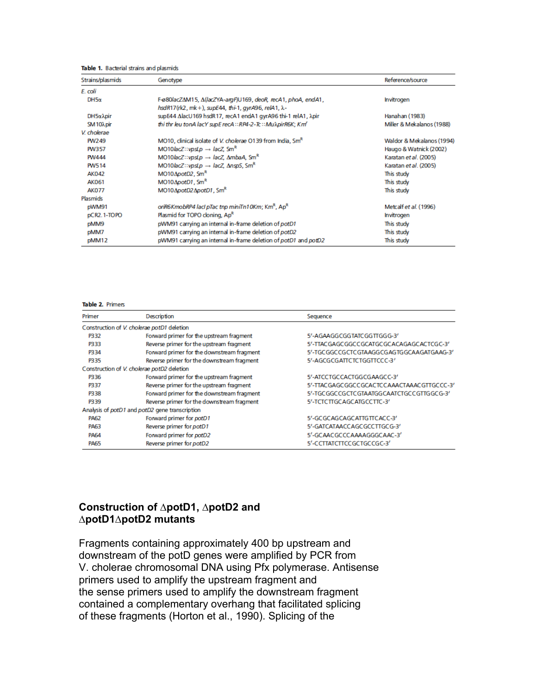Table 1. Bacterial strains and plasmids

| Strains/plasmids                 | Genotype                                                                                                                                | Reference/source      |
|----------------------------------|-----------------------------------------------------------------------------------------------------------------------------------------|-----------------------|
| E. coli                          |                                                                                                                                         |                       |
| $DH5\alpha$                      | F-ø80lacZΔM15, Δ(lacZYA-argF)U169, deoR, recA1, phoA, endA1,<br><b>Invitrogen</b><br>hsdR17(rk2, mk+), supE44, thi-1, gyrA96, relA1, λ- |                       |
| DH5x <sub>Apir</sub>             | supE44 ΔlacU169 hsdR17, recA1 endA1 gyrA96 thi-1 relA1, λpir                                                                            | Hanahan (1983)        |
| SM <sub>10</sub> <sub>Apir</sub> | thi thr leu tonA lacY supE recA::RP4-2-Tc::Mu\pirR6K; Km<br>Miller & Mekalanos (1988)                                                   |                       |
| V. cholerae                      |                                                                                                                                         |                       |
| PW249                            | MO10, clinical isolate of V. cholerae O139 from India, Sm <sup>R</sup><br>Waldor & Mekalanos (1994)                                     |                       |
| PW357                            | MO10 <i>lacZ</i> :: <i>vpsLp</i> $\rightarrow$ <i>lacZ</i> , Sm <sup>R</sup><br>Haugo & Watnick (2002)                                  |                       |
| PW444                            | MO10lacZ::vpsLp $\rightarrow$ lacZ, AmbaA, Sm <sup>R</sup>                                                                              | Karatan et al. (2005) |
| PW514                            | MO10lacZ::vpsLp $\rightarrow$ lacZ, AnspS, Sm <sup>R</sup>                                                                              | Karatan et al. (2005) |
| <b>AK042</b>                     | MO10ApotD2, Sm <sup>R</sup>                                                                                                             | This study            |
| AK061                            | $MO10\DeltapotD1$ , Sm <sup>R</sup>                                                                                                     | This study            |
| <b>AK077</b>                     | MO10ApotD2ApotD1, SmR                                                                                                                   | This study            |
| Plasmids                         |                                                                                                                                         |                       |
| pWM91                            | oriR6KmobRP4 lacl pTac tnp miniTn10Km; Km <sup>R</sup> , Ap <sup>R</sup><br>Metcalf et al. (1996)                                       |                       |
| pCR2.1-TOPO                      | Plasmid for TOPO cloning, Ap <sup>R</sup><br>Invitrogen                                                                                 |                       |
| pMM9                             | pWM91 carrying an internal in-frame deletion of potD1<br>This study                                                                     |                       |
| pMM7                             | pWM91 carrying an internal in-frame deletion of potD2<br>This study                                                                     |                       |
| pMM12                            | pWM91 carrying an internal in-frame deletion of potD1 and potD2<br>This study                                                           |                       |

#### Table 2. Primers

| Primer      | <b>Description</b>                             | Sequence                                  |
|-------------|------------------------------------------------|-------------------------------------------|
|             | Construction of V. cholerae potD1 deletion     |                                           |
| P332        | Forward primer for the upstream fragment       | 5'-AGAAGGCGGTATCGGTTGGG-3'                |
| P333        | Reverse primer for the upstream fragment       | 5'-TTACGAGCGGCCGCATGCGCACAGAGCACTCGC-3'   |
| P334        | Forward primer for the downstream fragment     | 5'-TGCGGCCGCTCGTAAGGCGAGTGGCAAGATGAAG-3'  |
| P335        | Reverse primer for the downstream fragment     | 5'-AGCGCGATTCTCTGGTTCCC-3'                |
|             | Construction of V. cholerae potD2 deletion     |                                           |
| P336        | Forward primer for the upstream fragment       | 5'-ATCCTGCCACTGGCGAAGCC-3'                |
| P337        | Reverse primer for the upstream fragment       | 5'-TTACGAGCGGCCGCACTCCAAACTAAACGTTGCCC-3' |
| P338        | Forward primer for the downstream fragment     | 5'-TGCGGCCGCTCGTAATGGCAATCTGCCGTTGGCG-3'  |
| P339        | Reverse primer for the downstream fragment     | 5'-TCTCTTGCAGCATGCCTTC-3'                 |
|             | Analysis of potD1 and potD2 gene transcription |                                           |
| <b>PA62</b> | Forward primer for potD1                       | 5'-GCGCAGCAGCATTGTTCACC-3'                |
| <b>PA63</b> | Reverse primer for potD1                       | 5'-GATCATAACCAGCGCCTTGCG-3'               |
| <b>PA64</b> | Forward primer for potD2                       | 5'-GCAACGCCCAAAAGGGCAAC-3'                |
| <b>PA65</b> | Reverse primer for potD2                       | 5'-CCTTATCTTCCGCTGCCGC-3'                 |

## **Construction of ∆potD1, ∆potD2 and ∆potD1∆potD2 mutants**

Fragments containing approximately 400 bp upstream and downstream of the potD genes were amplified by PCR from V. cholerae chromosomal DNA using Pfx polymerase. Antisense primers used to amplify the upstream fragment and the sense primers used to amplify the downstream fragment contained a complementary overhang that facilitated splicing of these fragments (Horton et al., 1990). Splicing of the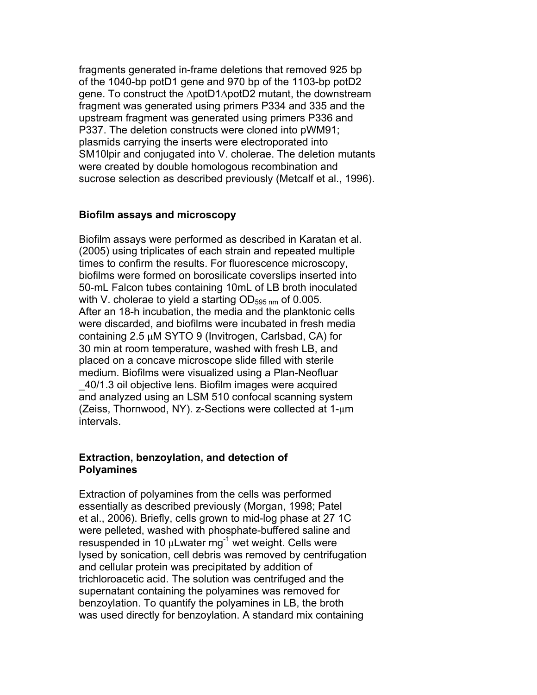fragments generated in-frame deletions that removed 925 bp of the 1040-bp potD1 gene and 970 bp of the 1103-bp potD2 gene. To construct the ∆potD1∆potD2 mutant, the downstream fragment was generated using primers P334 and 335 and the upstream fragment was generated using primers P336 and P337. The deletion constructs were cloned into pWM91; plasmids carrying the inserts were electroporated into SM10lpir and conjugated into V. cholerae. The deletion mutants were created by double homologous recombination and sucrose selection as described previously (Metcalf et al., 1996).

# **Biofilm assays and microscopy**

Biofilm assays were performed as described in Karatan et al. (2005) using triplicates of each strain and repeated multiple times to confirm the results. For fluorescence microscopy, biofilms were formed on borosilicate coverslips inserted into 50-mL Falcon tubes containing 10mL of LB broth inoculated with V. cholerae to yield a starting  $OD_{595 \text{ nm}}$  of 0.005. After an 18-h incubation, the media and the planktonic cells were discarded, and biofilms were incubated in fresh media containing 2.5 µM SYTO 9 (Invitrogen, Carlsbad, CA) for 30 min at room temperature, washed with fresh LB, and placed on a concave microscope slide filled with sterile medium. Biofilms were visualized using a Plan-Neofluar \_40/1.3 oil objective lens. Biofilm images were acquired and analyzed using an LSM 510 confocal scanning system (Zeiss, Thornwood, NY). z-Sections were collected at 1-µm intervals.

## **Extraction, benzoylation, and detection of Polyamines**

Extraction of polyamines from the cells was performed essentially as described previously (Morgan, 1998; Patel et al., 2006). Briefly, cells grown to mid-log phase at 27 1C were pelleted, washed with phosphate-buffered saline and resuspended in 10  $\mu$ Lwater mg<sup>-1</sup> wet weight. Cells were lysed by sonication, cell debris was removed by centrifugation and cellular protein was precipitated by addition of trichloroacetic acid. The solution was centrifuged and the supernatant containing the polyamines was removed for benzoylation. To quantify the polyamines in LB, the broth was used directly for benzoylation. A standard mix containing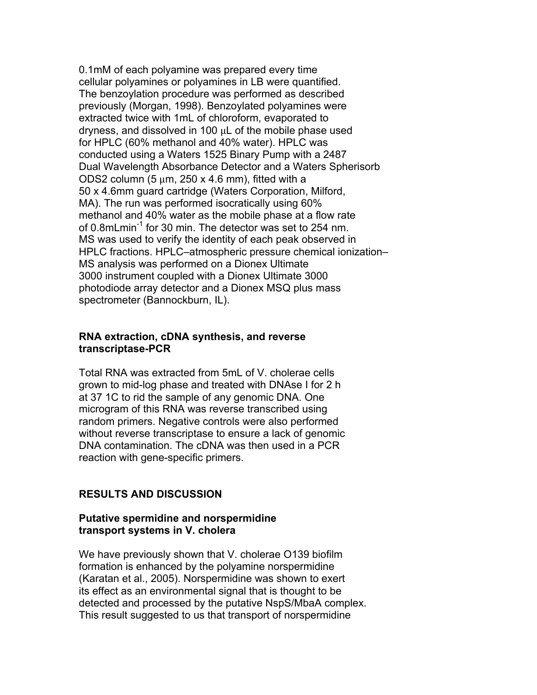0.1mM of each polyamine was prepared every time cellular polyamines or polyamines in LB were quantified. The benzoylation procedure was performed as described previously (Morgan, 1998). Benzoylated polyamines were extracted twice with 1mL of chloroform, evaporated to dryness, and dissolved in 100  $\mu$ L of the mobile phase used for HPLC (60% methanol and 40% water). HPLC was conducted using a Waters 1525 Binary Pump with a 2487 Dual Wavelength Absorbance Detector and a Waters Spherisorb ODS2 column (5  $\mu$ m, 250 x 4.6 mm), fitted with a 50 x 4.6mm guard cartridge (Waters Corporation, Milford, MA). The run was performed isocratically using 60% methanol and 40% water as the mobile phase at a flow rate of 0.8mLmin<sup>-1</sup> for 30 min. The detector was set to 254 nm. MS was used to verify the identity of each peak observed in HPLC fractions. HPLC–atmospheric pressure chemical ionization– MS analysis was performed on a Dionex Ultimate 3000 instrument coupled with a Dionex Ultimate 3000 photodiode array detector and a Dionex MSQ plus mass spectrometer (Bannockburn, IL).

#### **RNA extraction, cDNA synthesis, and reverse transcriptase-PCR**

Total RNA was extracted from 5mL of V. cholerae cells grown to mid-log phase and treated with DNAse I for 2 h at 37 1C to rid the sample of any genomic DNA. One microgram of this RNA was reverse transcribed using random primers. Negative controls were also performed without reverse transcriptase to ensure a lack of genomic DNA contamination. The cDNA was then used in a PCR reaction with gene-specific primers.

# **RESULTS AND DISCUSSION**

## **Putative spermidine and norspermidine transport systems in V. cholera**

We have previously shown that V. cholerae O139 biofilm formation is enhanced by the polyamine norspermidine (Karatan et al., 2005). Norspermidine was shown to exert its effect as an environmental signal that is thought to be detected and processed by the putative NspS/MbaA complex. This result suggested to us that transport of norspermidine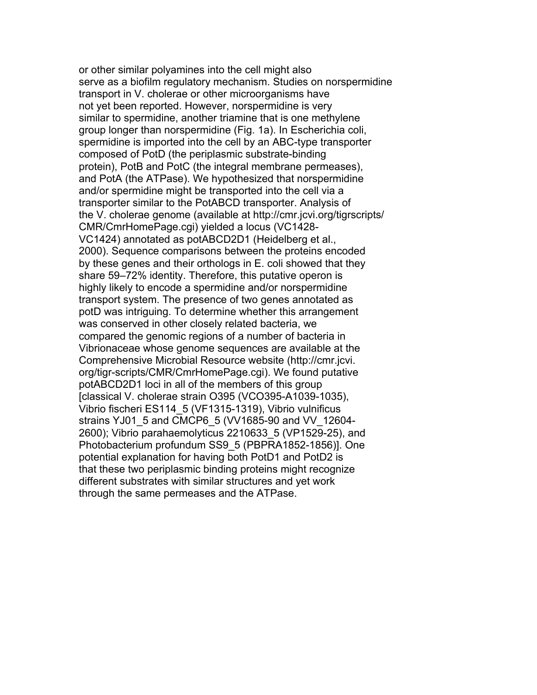or other similar polyamines into the cell might also serve as a biofilm regulatory mechanism. Studies on norspermidine transport in V. cholerae or other microorganisms have not yet been reported. However, norspermidine is very similar to spermidine, another triamine that is one methylene group longer than norspermidine (Fig. 1a). In Escherichia coli, spermidine is imported into the cell by an ABC-type transporter composed of PotD (the periplasmic substrate-binding protein), PotB and PotC (the integral membrane permeases), and PotA (the ATPase). We hypothesized that norspermidine and/or spermidine might be transported into the cell via a transporter similar to the PotABCD transporter. Analysis of the V. cholerae genome (available at http://cmr.jcvi.org/tigrscripts/ CMR/CmrHomePage.cgi) yielded a locus (VC1428- VC1424) annotated as potABCD2D1 (Heidelberg et al., 2000). Sequence comparisons between the proteins encoded by these genes and their orthologs in E. coli showed that they share 59–72% identity. Therefore, this putative operon is highly likely to encode a spermidine and/or norspermidine transport system. The presence of two genes annotated as potD was intriguing. To determine whether this arrangement was conserved in other closely related bacteria, we compared the genomic regions of a number of bacteria in Vibrionaceae whose genome sequences are available at the Comprehensive Microbial Resource website (http://cmr.jcvi. org/tigr-scripts/CMR/CmrHomePage.cgi). We found putative potABCD2D1 loci in all of the members of this group [classical V. cholerae strain O395 (VCO395-A1039-1035), Vibrio fischeri ES114\_5 (VF1315-1319), Vibrio vulnificus strains YJ01\_5 and CMCP6\_5 (VV1685-90 and VV\_12604- 2600); Vibrio parahaemolyticus 2210633\_5 (VP1529-25), and Photobacterium profundum SS9\_5 (PBPRA1852-1856)]. One potential explanation for having both PotD1 and PotD2 is that these two periplasmic binding proteins might recognize different substrates with similar structures and yet work through the same permeases and the ATPase.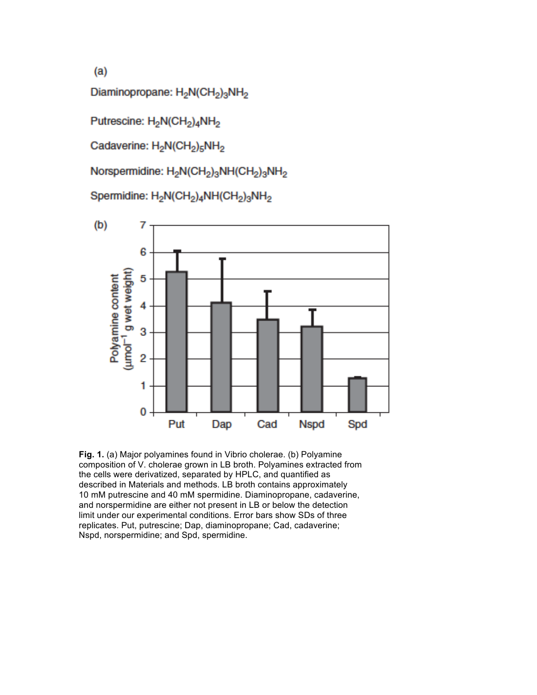$(a)$ 

Diaminopropane: H<sub>2</sub>N(CH<sub>2</sub>)<sub>3</sub>NH<sub>2</sub>

Putrescine: H<sub>2</sub>N(CH<sub>2</sub>)<sub>4</sub>NH<sub>2</sub>

Cadaverine: H<sub>2</sub>N(CH<sub>2</sub>)<sub>5</sub>NH<sub>2</sub>

Norspermidine: H<sub>2</sub>N(CH<sub>2</sub>)<sub>3</sub>NH(CH<sub>2</sub>)<sub>3</sub>NH<sub>2</sub>

Spermidine: H<sub>2</sub>N(CH<sub>2</sub>)<sub>4</sub>NH(CH<sub>2</sub>)<sub>3</sub>NH<sub>2</sub>



**Fig. 1.** (a) Major polyamines found in Vibrio cholerae. (b) Polyamine composition of V. cholerae grown in LB broth. Polyamines extracted from the cells were derivatized, separated by HPLC, and quantified as described in Materials and methods. LB broth contains approximately 10 mM putrescine and 40 mM spermidine. Diaminopropane, cadaverine, and norspermidine are either not present in LB or below the detection limit under our experimental conditions. Error bars show SDs of three replicates. Put, putrescine; Dap, diaminopropane; Cad, cadaverine; Nspd, norspermidine; and Spd, spermidine.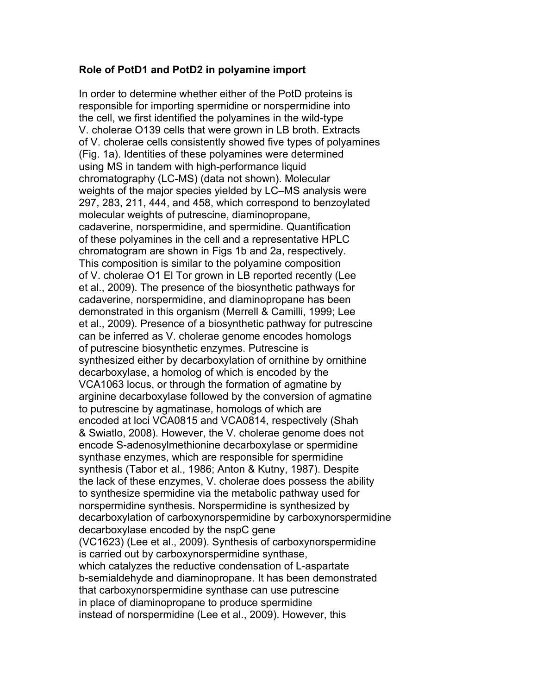#### **Role of PotD1 and PotD2 in polyamine import**

In order to determine whether either of the PotD proteins is responsible for importing spermidine or norspermidine into the cell, we first identified the polyamines in the wild-type V. cholerae O139 cells that were grown in LB broth. Extracts of V. cholerae cells consistently showed five types of polyamines (Fig. 1a). Identities of these polyamines were determined using MS in tandem with high-performance liquid chromatography (LC-MS) (data not shown). Molecular weights of the major species yielded by LC–MS analysis were 297, 283, 211, 444, and 458, which correspond to benzoylated molecular weights of putrescine, diaminopropane, cadaverine, norspermidine, and spermidine. Quantification of these polyamines in the cell and a representative HPLC chromatogram are shown in Figs 1b and 2a, respectively. This composition is similar to the polyamine composition of V. cholerae O1 El Tor grown in LB reported recently (Lee et al., 2009). The presence of the biosynthetic pathways for cadaverine, norspermidine, and diaminopropane has been demonstrated in this organism (Merrell & Camilli, 1999; Lee et al., 2009). Presence of a biosynthetic pathway for putrescine can be inferred as V. cholerae genome encodes homologs of putrescine biosynthetic enzymes. Putrescine is synthesized either by decarboxylation of ornithine by ornithine decarboxylase, a homolog of which is encoded by the VCA1063 locus, or through the formation of agmatine by arginine decarboxylase followed by the conversion of agmatine to putrescine by agmatinase, homologs of which are encoded at loci VCA0815 and VCA0814, respectively (Shah & Swiatlo, 2008). However, the V. cholerae genome does not encode S-adenosylmethionine decarboxylase or spermidine synthase enzymes, which are responsible for spermidine synthesis (Tabor et al., 1986; Anton & Kutny, 1987). Despite the lack of these enzymes, V. cholerae does possess the ability to synthesize spermidine via the metabolic pathway used for norspermidine synthesis. Norspermidine is synthesized by decarboxylation of carboxynorspermidine by carboxynorspermidine decarboxylase encoded by the nspC gene (VC1623) (Lee et al., 2009). Synthesis of carboxynorspermidine is carried out by carboxynorspermidine synthase, which catalyzes the reductive condensation of L-aspartate b-semialdehyde and diaminopropane. It has been demonstrated that carboxynorspermidine synthase can use putrescine in place of diaminopropane to produce spermidine instead of norspermidine (Lee et al., 2009). However, this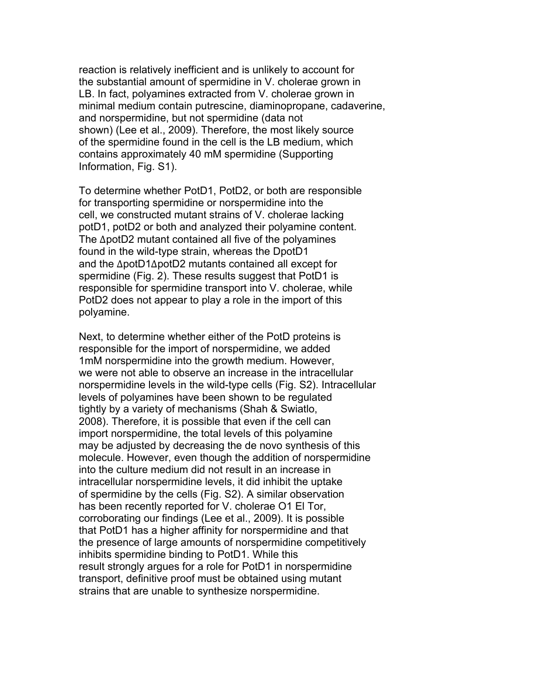reaction is relatively inefficient and is unlikely to account for the substantial amount of spermidine in V. cholerae grown in LB. In fact, polyamines extracted from V. cholerae grown in minimal medium contain putrescine, diaminopropane, cadaverine, and norspermidine, but not spermidine (data not shown) (Lee et al., 2009). Therefore, the most likely source of the spermidine found in the cell is the LB medium, which contains approximately 40 mM spermidine (Supporting Information, Fig. S1).

To determine whether PotD1, PotD2, or both are responsible for transporting spermidine or norspermidine into the cell, we constructed mutant strains of V. cholerae lacking potD1, potD2 or both and analyzed their polyamine content. The ∆potD2 mutant contained all five of the polyamines found in the wild-type strain, whereas the DpotD1 and the ∆potD1∆potD2 mutants contained all except for spermidine (Fig. 2). These results suggest that PotD1 is responsible for spermidine transport into V. cholerae, while PotD2 does not appear to play a role in the import of this polyamine.

Next, to determine whether either of the PotD proteins is responsible for the import of norspermidine, we added 1mM norspermidine into the growth medium. However, we were not able to observe an increase in the intracellular norspermidine levels in the wild-type cells (Fig. S2). Intracellular levels of polyamines have been shown to be regulated tightly by a variety of mechanisms (Shah & Swiatlo, 2008). Therefore, it is possible that even if the cell can import norspermidine, the total levels of this polyamine may be adjusted by decreasing the de novo synthesis of this molecule. However, even though the addition of norspermidine into the culture medium did not result in an increase in intracellular norspermidine levels, it did inhibit the uptake of spermidine by the cells (Fig. S2). A similar observation has been recently reported for V. cholerae O1 El Tor, corroborating our findings (Lee et al., 2009). It is possible that PotD1 has a higher affinity for norspermidine and that the presence of large amounts of norspermidine competitively inhibits spermidine binding to PotD1. While this result strongly argues for a role for PotD1 in norspermidine transport, definitive proof must be obtained using mutant strains that are unable to synthesize norspermidine.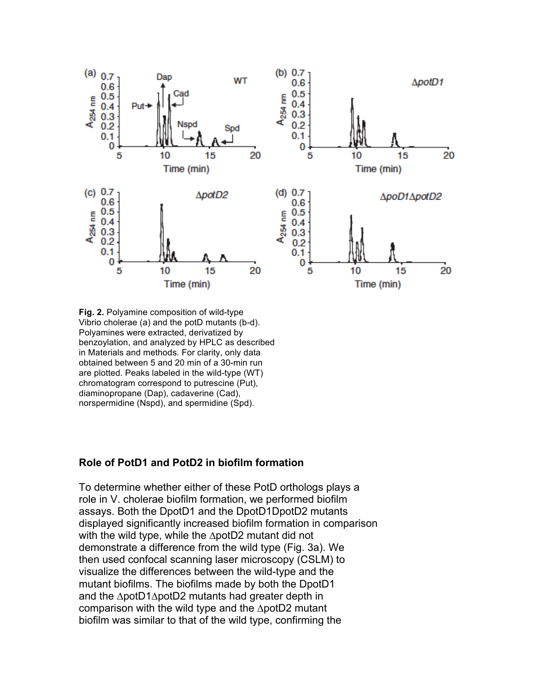

**Fig. 2.** Polyamine composition of wild-type Vibrio cholerae (a) and the potD mutants (b-d). Polyamines were extracted, derivatized by benzoylation, and analyzed by HPLC as described in Materials and methods. For clarity, only data obtained between 5 and 20 min of a 30-min run are plotted. Peaks labeled in the wild-type (WT) chromatogram correspond to putrescine (Put), diaminopropane (Dap), cadaverine (Cad), norspermidine (Nspd), and spermidine (Spd).

## **Role of PotD1 and PotD2 in biofilm formation**

To determine whether either of these PotD orthologs plays a role in V. cholerae biofilm formation, we performed biofilm assays. Both the DpotD1 and the DpotD1DpotD2 mutants displayed significantly increased biofilm formation in comparison with the wild type, while the ∆potD2 mutant did not demonstrate a difference from the wild type (Fig. 3a). We then used confocal scanning laser microscopy (CSLM) to visualize the differences between the wild-type and the mutant biofilms. The biofilms made by both the DpotD1 and the ∆potD1∆potD2 mutants had greater depth in comparison with the wild type and the ∆potD2 mutant biofilm was similar to that of the wild type, confirming the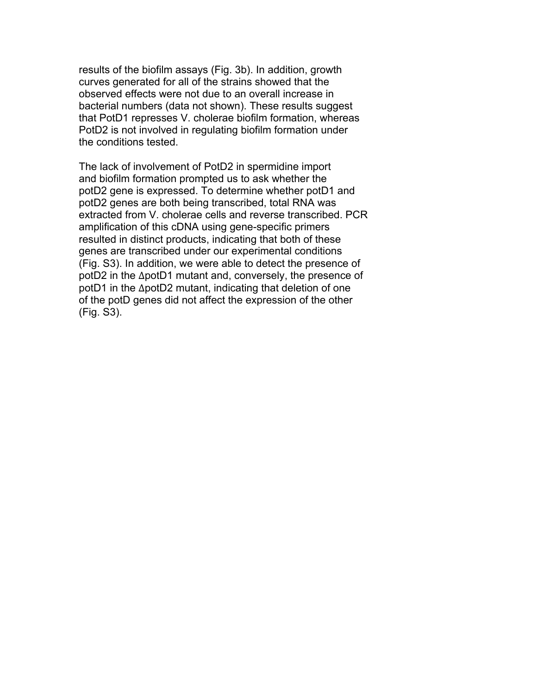results of the biofilm assays (Fig. 3b). In addition, growth curves generated for all of the strains showed that the observed effects were not due to an overall increase in bacterial numbers (data not shown). These results suggest that PotD1 represses V. cholerae biofilm formation, whereas PotD2 is not involved in regulating biofilm formation under the conditions tested.

The lack of involvement of PotD2 in spermidine import and biofilm formation prompted us to ask whether the potD2 gene is expressed. To determine whether potD1 and potD2 genes are both being transcribed, total RNA was extracted from V. cholerae cells and reverse transcribed. PCR amplification of this cDNA using gene-specific primers resulted in distinct products, indicating that both of these genes are transcribed under our experimental conditions (Fig. S3). In addition, we were able to detect the presence of potD2 in the ∆potD1 mutant and, conversely, the presence of potD1 in the ∆potD2 mutant, indicating that deletion of one of the potD genes did not affect the expression of the other (Fig. S3).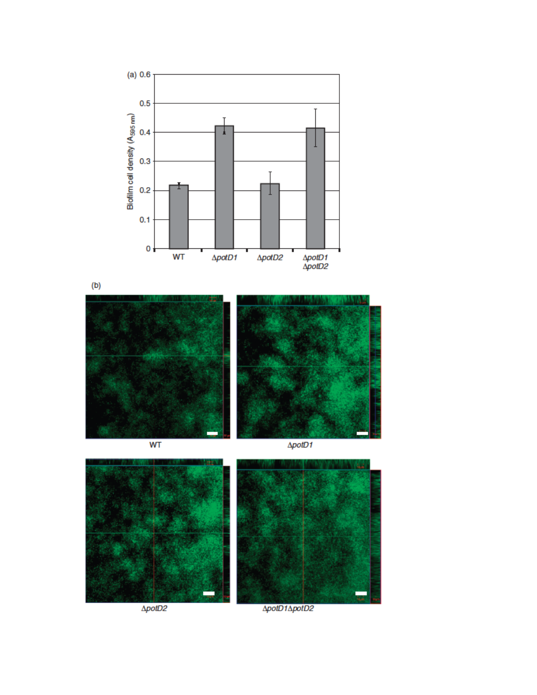

 $(b)$ 



 $\overline{\text{WT}}$ 

 $\Delta$ potD1



ΔpotD1ΔpotD2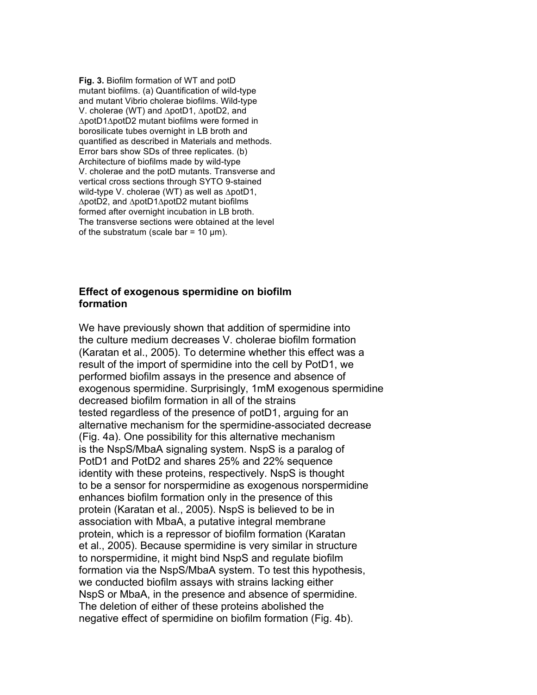**Fig. 3.** Biofilm formation of WT and potD mutant biofilms. (a) Quantification of wild-type and mutant Vibrio cholerae biofilms. Wild-type V. cholerae (WT) and ∆potD1, ∆potD2, and ∆potD1∆potD2 mutant biofilms were formed in borosilicate tubes overnight in LB broth and quantified as described in Materials and methods. Error bars show SDs of three replicates. (b) Architecture of biofilms made by wild-type V. cholerae and the potD mutants. Transverse and vertical cross sections through SYTO 9-stained wild-type V. cholerae (WT) as well as ∆potD1, ∆potD2, and ∆potD1∆potD2 mutant biofilms formed after overnight incubation in LB broth. The transverse sections were obtained at the level of the substratum (scale bar =  $10 \mu m$ ).

#### **Effect of exogenous spermidine on biofilm formation**

We have previously shown that addition of spermidine into the culture medium decreases V. cholerae biofilm formation (Karatan et al., 2005). To determine whether this effect was a result of the import of spermidine into the cell by PotD1, we performed biofilm assays in the presence and absence of exogenous spermidine. Surprisingly, 1mM exogenous spermidine decreased biofilm formation in all of the strains tested regardless of the presence of potD1, arguing for an alternative mechanism for the spermidine-associated decrease (Fig. 4a). One possibility for this alternative mechanism is the NspS/MbaA signaling system. NspS is a paralog of PotD1 and PotD2 and shares 25% and 22% sequence identity with these proteins, respectively. NspS is thought to be a sensor for norspermidine as exogenous norspermidine enhances biofilm formation only in the presence of this protein (Karatan et al., 2005). NspS is believed to be in association with MbaA, a putative integral membrane protein, which is a repressor of biofilm formation (Karatan et al., 2005). Because spermidine is very similar in structure to norspermidine, it might bind NspS and regulate biofilm formation via the NspS/MbaA system. To test this hypothesis, we conducted biofilm assays with strains lacking either NspS or MbaA, in the presence and absence of spermidine. The deletion of either of these proteins abolished the negative effect of spermidine on biofilm formation (Fig. 4b).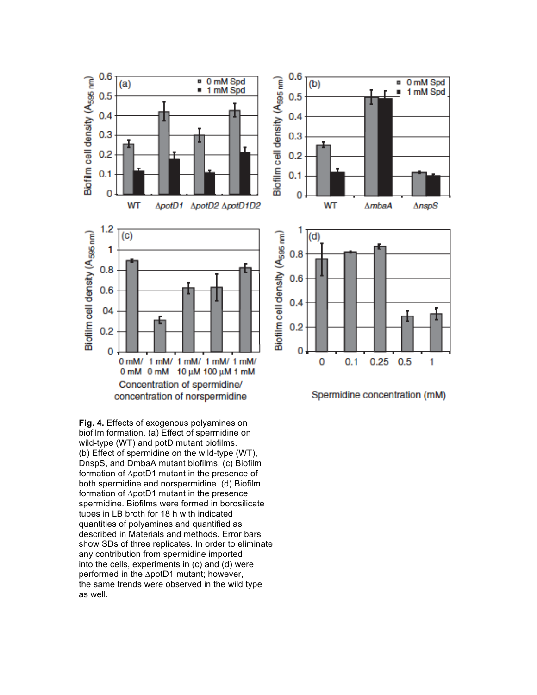

0 mM Spd

1 mM Spd

 $AnspS$ 

1

**Fig. 4.** Effects of exogenous polyamines on biofilm formation. (a) Effect of spermidine on wild-type (WT) and potD mutant biofilms. (b) Effect of spermidine on the wild-type (WT), DnspS, and DmbaA mutant biofilms. (c) Biofilm formation of ∆potD1 mutant in the presence of both spermidine and norspermidine. (d) Biofilm formation of ∆potD1 mutant in the presence spermidine. Biofilms were formed in borosilicate tubes in LB broth for 18 h with indicated quantities of polyamines and quantified as described in Materials and methods. Error bars show SDs of three replicates. In order to eliminate any contribution from spermidine imported into the cells, experiments in (c) and (d) were performed in the ∆potD1 mutant; however, the same trends were observed in the wild type as well.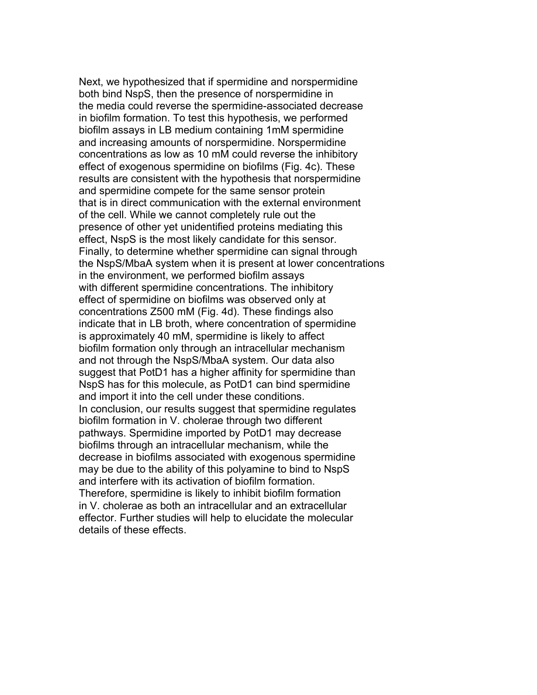Next, we hypothesized that if spermidine and norspermidine both bind NspS, then the presence of norspermidine in the media could reverse the spermidine-associated decrease in biofilm formation. To test this hypothesis, we performed biofilm assays in LB medium containing 1mM spermidine and increasing amounts of norspermidine. Norspermidine concentrations as low as 10 mM could reverse the inhibitory effect of exogenous spermidine on biofilms (Fig. 4c). These results are consistent with the hypothesis that norspermidine and spermidine compete for the same sensor protein that is in direct communication with the external environment of the cell. While we cannot completely rule out the presence of other yet unidentified proteins mediating this effect, NspS is the most likely candidate for this sensor. Finally, to determine whether spermidine can signal through the NspS/MbaA system when it is present at lower concentrations in the environment, we performed biofilm assays with different spermidine concentrations. The inhibitory effect of spermidine on biofilms was observed only at concentrations Z500 mM (Fig. 4d). These findings also indicate that in LB broth, where concentration of spermidine is approximately 40 mM, spermidine is likely to affect biofilm formation only through an intracellular mechanism and not through the NspS/MbaA system. Our data also suggest that PotD1 has a higher affinity for spermidine than NspS has for this molecule, as PotD1 can bind spermidine and import it into the cell under these conditions. In conclusion, our results suggest that spermidine regulates biofilm formation in V. cholerae through two different pathways. Spermidine imported by PotD1 may decrease biofilms through an intracellular mechanism, while the decrease in biofilms associated with exogenous spermidine may be due to the ability of this polyamine to bind to NspS and interfere with its activation of biofilm formation. Therefore, spermidine is likely to inhibit biofilm formation in V. cholerae as both an intracellular and an extracellular effector. Further studies will help to elucidate the molecular details of these effects.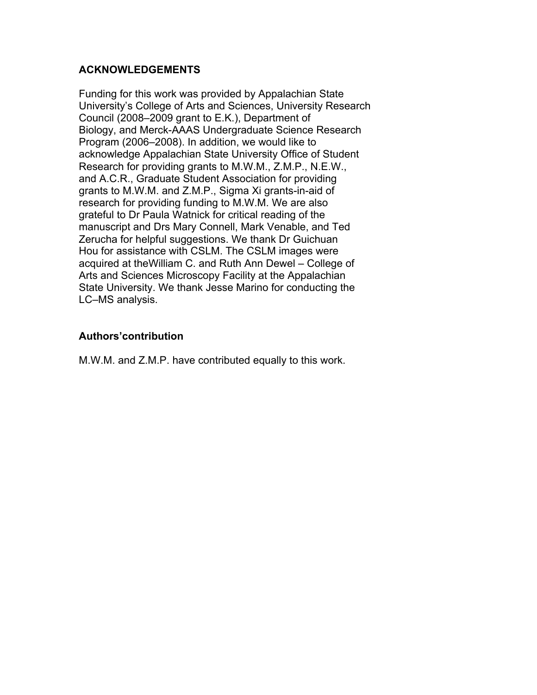# **ACKNOWLEDGEMENTS**

Funding for this work was provided by Appalachian State University's College of Arts and Sciences, University Research Council (2008–2009 grant to E.K.), Department of Biology, and Merck-AAAS Undergraduate Science Research Program (2006–2008). In addition, we would like to acknowledge Appalachian State University Office of Student Research for providing grants to M.W.M., Z.M.P., N.E.W., and A.C.R., Graduate Student Association for providing grants to M.W.M. and Z.M.P., Sigma Xi grants-in-aid of research for providing funding to M.W.M. We are also grateful to Dr Paula Watnick for critical reading of the manuscript and Drs Mary Connell, Mark Venable, and Ted Zerucha for helpful suggestions. We thank Dr Guichuan Hou for assistance with CSLM. The CSLM images were acquired at theWilliam C. and Ruth Ann Dewel – College of Arts and Sciences Microscopy Facility at the Appalachian State University. We thank Jesse Marino for conducting the LC–MS analysis.

# **Authors'contribution**

M.W.M. and Z.M.P. have contributed equally to this work.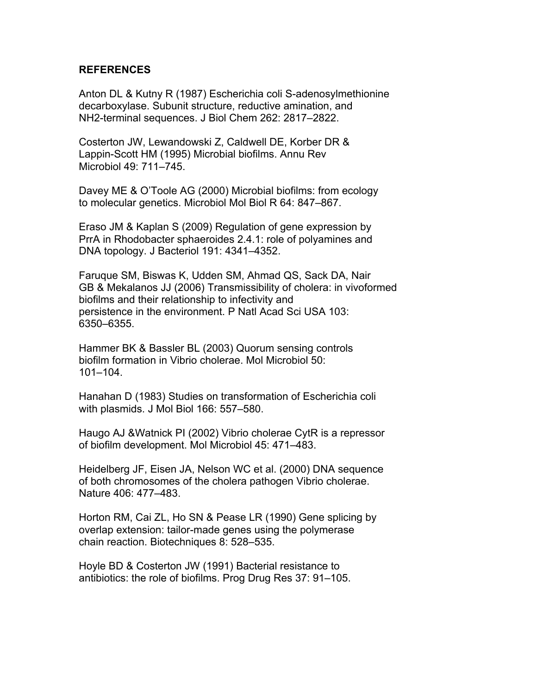#### **REFERENCES**

Anton DL & Kutny R (1987) Escherichia coli S-adenosylmethionine decarboxylase. Subunit structure, reductive amination, and NH2-terminal sequences. J Biol Chem 262: 2817–2822.

Costerton JW, Lewandowski Z, Caldwell DE, Korber DR & Lappin-Scott HM (1995) Microbial biofilms. Annu Rev Microbiol 49: 711–745.

Davey ME & O'Toole AG (2000) Microbial biofilms: from ecology to molecular genetics. Microbiol Mol Biol R 64: 847–867.

Eraso JM & Kaplan S (2009) Regulation of gene expression by PrrA in Rhodobacter sphaeroides 2.4.1: role of polyamines and DNA topology. J Bacteriol 191: 4341–4352.

Faruque SM, Biswas K, Udden SM, Ahmad QS, Sack DA, Nair GB & Mekalanos JJ (2006) Transmissibility of cholera: in vivoformed biofilms and their relationship to infectivity and persistence in the environment. P Natl Acad Sci USA 103: 6350–6355.

Hammer BK & Bassler BL (2003) Quorum sensing controls biofilm formation in Vibrio cholerae. Mol Microbiol 50: 101–104.

Hanahan D (1983) Studies on transformation of Escherichia coli with plasmids. J Mol Biol 166: 557–580.

Haugo AJ &Watnick PI (2002) Vibrio cholerae CytR is a repressor of biofilm development. Mol Microbiol 45: 471–483.

Heidelberg JF, Eisen JA, Nelson WC et al. (2000) DNA sequence of both chromosomes of the cholera pathogen Vibrio cholerae. Nature 406: 477–483.

Horton RM, Cai ZL, Ho SN & Pease LR (1990) Gene splicing by overlap extension: tailor-made genes using the polymerase chain reaction. Biotechniques 8: 528–535.

Hoyle BD & Costerton JW (1991) Bacterial resistance to antibiotics: the role of biofilms. Prog Drug Res 37: 91–105.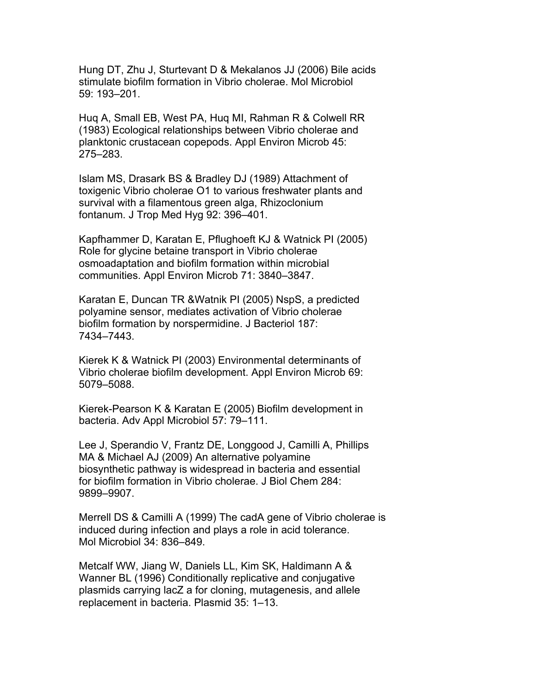Hung DT, Zhu J, Sturtevant D & Mekalanos JJ (2006) Bile acids stimulate biofilm formation in Vibrio cholerae. Mol Microbiol 59: 193–201.

Huq A, Small EB, West PA, Huq MI, Rahman R & Colwell RR (1983) Ecological relationships between Vibrio cholerae and planktonic crustacean copepods. Appl Environ Microb 45: 275–283.

Islam MS, Drasark BS & Bradley DJ (1989) Attachment of toxigenic Vibrio cholerae O1 to various freshwater plants and survival with a filamentous green alga, Rhizoclonium fontanum. J Trop Med Hyg 92: 396–401.

Kapfhammer D, Karatan E, Pflughoeft KJ & Watnick PI (2005) Role for glycine betaine transport in Vibrio cholerae osmoadaptation and biofilm formation within microbial communities. Appl Environ Microb 71: 3840–3847.

Karatan E, Duncan TR &Watnik PI (2005) NspS, a predicted polyamine sensor, mediates activation of Vibrio cholerae biofilm formation by norspermidine. J Bacteriol 187: 7434–7443.

Kierek K & Watnick PI (2003) Environmental determinants of Vibrio cholerae biofilm development. Appl Environ Microb 69: 5079–5088.

Kierek-Pearson K & Karatan E (2005) Biofilm development in bacteria. Adv Appl Microbiol 57: 79–111.

Lee J, Sperandio V, Frantz DE, Longgood J, Camilli A, Phillips MA & Michael AJ (2009) An alternative polyamine biosynthetic pathway is widespread in bacteria and essential for biofilm formation in Vibrio cholerae. J Biol Chem 284: 9899–9907.

Merrell DS & Camilli A (1999) The cadA gene of Vibrio cholerae is induced during infection and plays a role in acid tolerance. Mol Microbiol 34: 836–849.

Metcalf WW, Jiang W, Daniels LL, Kim SK, Haldimann A & Wanner BL (1996) Conditionally replicative and conjugative plasmids carrying lacZ a for cloning, mutagenesis, and allele replacement in bacteria. Plasmid 35: 1–13.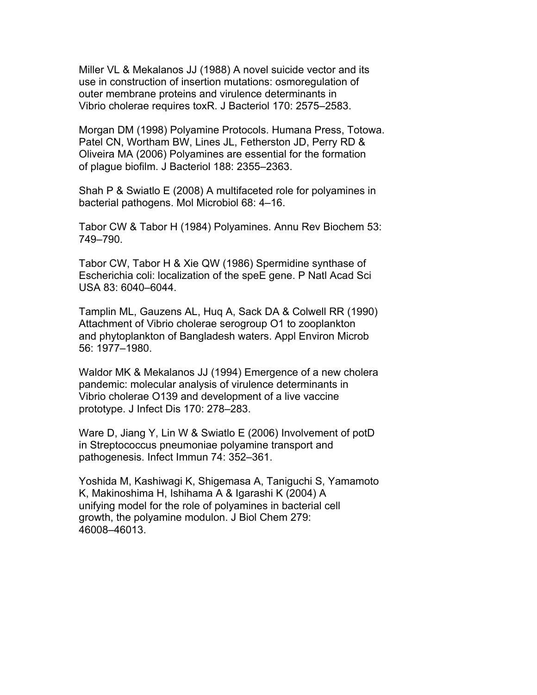Miller VL & Mekalanos JJ (1988) A novel suicide vector and its use in construction of insertion mutations: osmoregulation of outer membrane proteins and virulence determinants in Vibrio cholerae requires toxR. J Bacteriol 170: 2575–2583.

Morgan DM (1998) Polyamine Protocols. Humana Press, Totowa. Patel CN, Wortham BW, Lines JL, Fetherston JD, Perry RD & Oliveira MA (2006) Polyamines are essential for the formation of plague biofilm. J Bacteriol 188: 2355–2363.

Shah P & Swiatlo E (2008) A multifaceted role for polyamines in bacterial pathogens. Mol Microbiol 68: 4–16.

Tabor CW & Tabor H (1984) Polyamines. Annu Rev Biochem 53: 749–790.

Tabor CW, Tabor H & Xie QW (1986) Spermidine synthase of Escherichia coli: localization of the speE gene. P Natl Acad Sci USA 83: 6040–6044.

Tamplin ML, Gauzens AL, Huq A, Sack DA & Colwell RR (1990) Attachment of Vibrio cholerae serogroup O1 to zooplankton and phytoplankton of Bangladesh waters. Appl Environ Microb 56: 1977–1980.

Waldor MK & Mekalanos JJ (1994) Emergence of a new cholera pandemic: molecular analysis of virulence determinants in Vibrio cholerae O139 and development of a live vaccine prototype. J Infect Dis 170: 278–283.

Ware D, Jiang Y, Lin W & Swiatlo E (2006) Involvement of potD in Streptococcus pneumoniae polyamine transport and pathogenesis. Infect Immun 74: 352–361.

Yoshida M, Kashiwagi K, Shigemasa A, Taniguchi S, Yamamoto K, Makinoshima H, Ishihama A & Igarashi K (2004) A unifying model for the role of polyamines in bacterial cell growth, the polyamine modulon. J Biol Chem 279: 46008–46013.